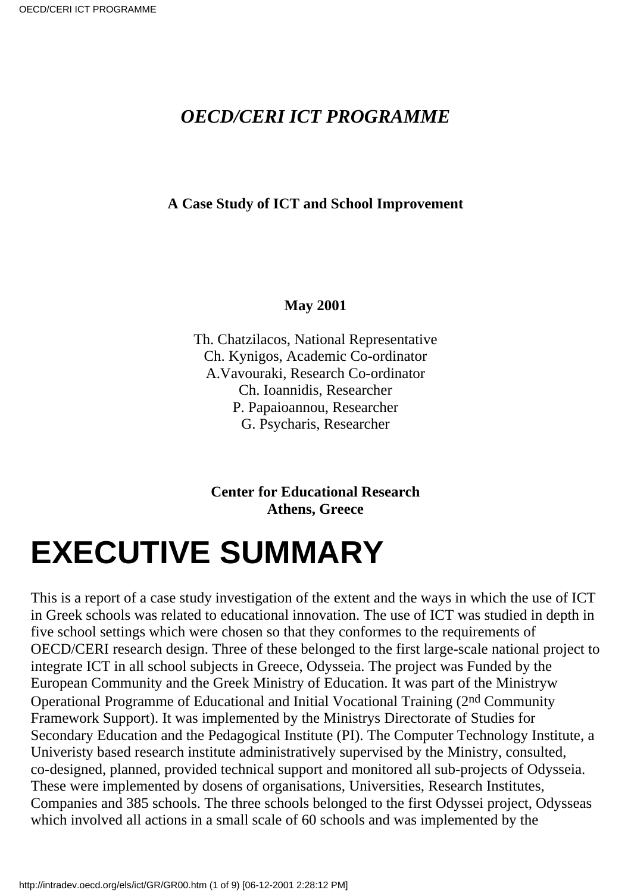#### *OECD/CERI ICT PROGRAMME*

#### **A Case Study of ICT and School Improvement**

#### **May 2001**

Th. Chatzilacos, National Representative Ch. Kynigos, Academic Co-ordinator A.Vavouraki, Research Co-ordinator Ch. Ioannidis, Researcher P. Papaioannou, Researcher G. Psycharis, Researcher

**Center for Educational Research Athens, Greece**

## **EXECUTIVE SUMMARY**

This is a report of a case study investigation of the extent and the ways in which the use of ICT in Greek schools was related to educational innovation. The use of ICT was studied in depth in five school settings which were chosen so that they conformes to the requirements of OECD/CERI research design. Three of these belonged to the first large-scale national project to integrate ICT in all school subjects in Greece, Odysseia. The project was Funded by the European Community and the Greek Ministry of Education. It was part of the Ministry w Operational Programme of Educational and Initial Vocational Training (2nd Community Framework Support). It was implemented by the Ministrys Directorate of Studies for Secondary Education and the Pedagogical Institute (PI). The Computer Technology Institute, a Univeristy based research institute administratively supervised by the Ministry, consulted, co-designed, planned, provided technical support and monitored all sub-projects of Odysseia. These were implemented by dosens of organisations, Universities, Research Institutes, Companies and 385 schools. The three schools belonged to the first Odyssei project, Odysseas which involved all actions in a small scale of 60 schools and was implemented by the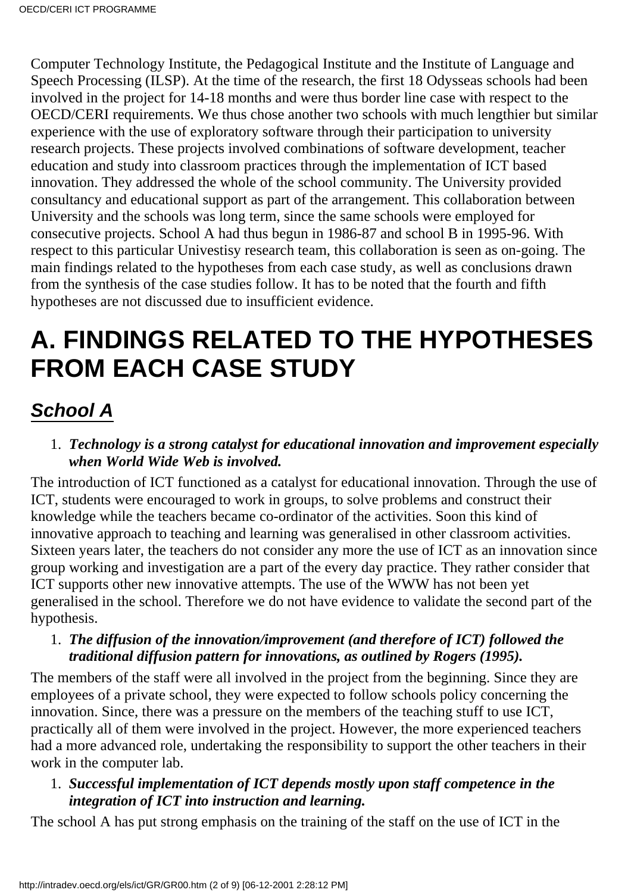Computer Technology Institute, the Pedagogical Institute and the Institute of Language and Speech Processing (ILSP). At the time of the research, the first 18 Odysseas schools had been involved in the project for 14-18 months and were thus border line case with respect to the OECD/CERI requirements. We thus chose another two schools with much lengthier but similar experience with the use of exploratory software through their participation to university research projects. These projects involved combinations of software development, teacher education and study into classroom practices through the implementation of ICT based innovation. They addressed the whole of the school community. The University provided consultancy and educational support as part of the arrangement. This collaboration between University and the schools was long term, since the same schools were employed for consecutive projects. School A had thus begun in 1986-87 and school B in 1995-96. With respect to this particular Univestisy research team, this collaboration is seen as on-going. The main findings related to the hypotheses from each case study, as well as conclusions drawn from the synthesis of the case studies follow. It has to be noted that the fourth and fifth hypotheses are not discussed due to insufficient evidence.

### **A. FINDINGS RELATED TO THE HYPOTHESES FROM EACH CASE STUDY**

### **School A**

#### *Technology is a strong catalyst for educational innovation and improvement especially* 1. *when World Wide Web is involved.*

The introduction of ICT functioned as a catalyst for educational innovation. Through the use of ICT, students were encouraged to work in groups, to solve problems and construct their knowledge while the teachers became co-ordinator of the activities. Soon this kind of innovative approach to teaching and learning was generalised in other classroom activities. Sixteen years later, the teachers do not consider any more the use of ICT as an innovation since group working and investigation are a part of the every day practice. They rather consider that ICT supports other new innovative attempts. The use of the WWW has not been yet generalised in the school. Therefore we do not have evidence to validate the second part of the hypothesis.

*The diffusion of the innovation/improvement (and therefore of ICT) followed the* 1. *traditional diffusion pattern for innovations, as outlined by Rogers (1995).*

The members of the staff were all involved in the project from the beginning. Since they are employees of a private school, they were expected to follow school s policy concerning the innovation. Since, there was a pressure on the members of the teaching stuff to use ICT, practically all of them were involved in the project. However, the more experienced teachers had a more advanced role, undertaking the responsibility to support the other teachers in their work in the computer lab.

#### *Successful implementation of ICT depends mostly upon staff competence in the* 1. *integration of ICT into instruction and learning.*

The school A has put strong emphasis on the training of the staff on the use of ICT in the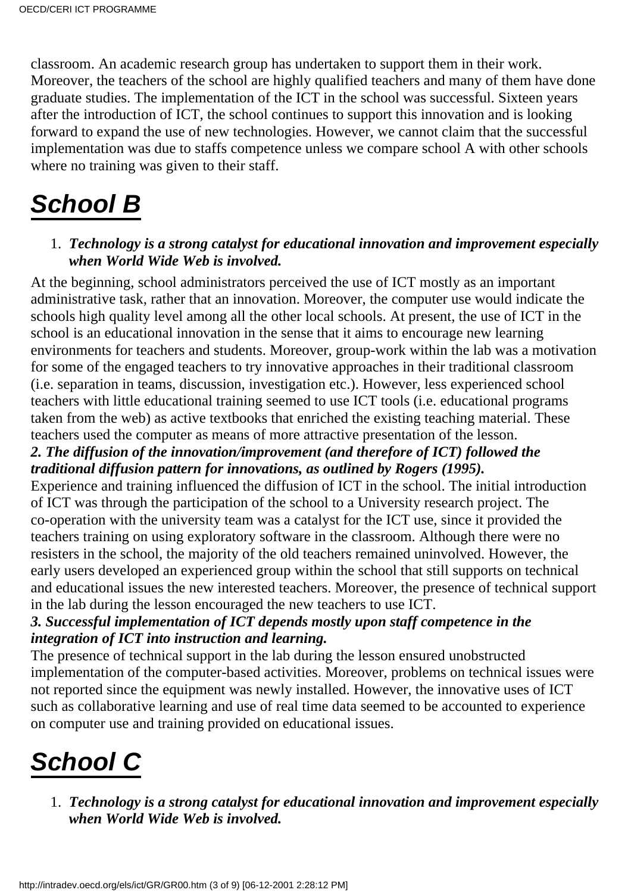classroom. An academic research group has undertaken to support them in their work. Moreover, the teachers of the school are highly qualified teachers and many of them have done graduate studies. The implementation of the ICT in the school was successful. Sixteen years after the introduction of ICT, the school continues to support this innovation and is looking forward to expand the use of new technologies. However, we cannot claim that the successful implementation was due to staff s competence unless we compare school A with other schools where no training was given to their staff.

### **School B**

#### *Technology is a strong catalyst for educational innovation and improvement especially* 1. *when World Wide Web is involved.*

At the beginning, school administrators perceived the use of ICT mostly as an important administrative task, rather that an innovation. Moreover, the computer use would indicate the schools high quality level among all the other local schools. At present, the use of ICT in the school is an educational innovation in the sense that it aims to encourage new learning environments for teachers and students. Moreover, group-work within the lab was a motivation for some of the engaged teachers to try innovative approaches in their traditional classroom (i.e. separation in teams, discussion, investigation etc.). However, less experienced school teachers with little educational training seemed to use ICT tools (i.e. educational programs taken from the web) as active textbooks that enriched the existing teaching material. These teachers used the computer as means of more attractive presentation of the lesson.

#### *2. The diffusion of the innovation/improvement (and therefore of ICT) followed the traditional diffusion pattern for innovations, as outlined by Rogers (1995).*

Experience and training influenced the diffusion of ICT in the school. The initial introduction of ICT was through the participation of the school to a University research project. The co-operation with the university team was a catalyst for the ICT use, since it provided the teachers training on using exploratory software in the classroom. Although there were no resisters in the school, the majority of the old teachers remained uninvolved. However, the early users developed an experienced group within the school that still supports on technical and educational issues the new interested teachers. Moreover, the presence of technical support in the lab during the lesson encouraged the new teachers to use ICT.

#### *3. Successful implementation of ICT depends mostly upon staff competence in the integration of ICT into instruction and learning.*

The presence of technical support in the lab during the lesson ensured unobstructed implementation of the computer-based activities. Moreover, problems on technical issues were not reported since the equipment was newly installed. However, the innovative uses of ICT such as collaborative learning and use of real time data seemed to be accounted to experience on computer use and training provided on educational issues.

### **School C**

*Technology is a strong catalyst for educational innovation and improvement especially* 1. *when World Wide Web is involved.*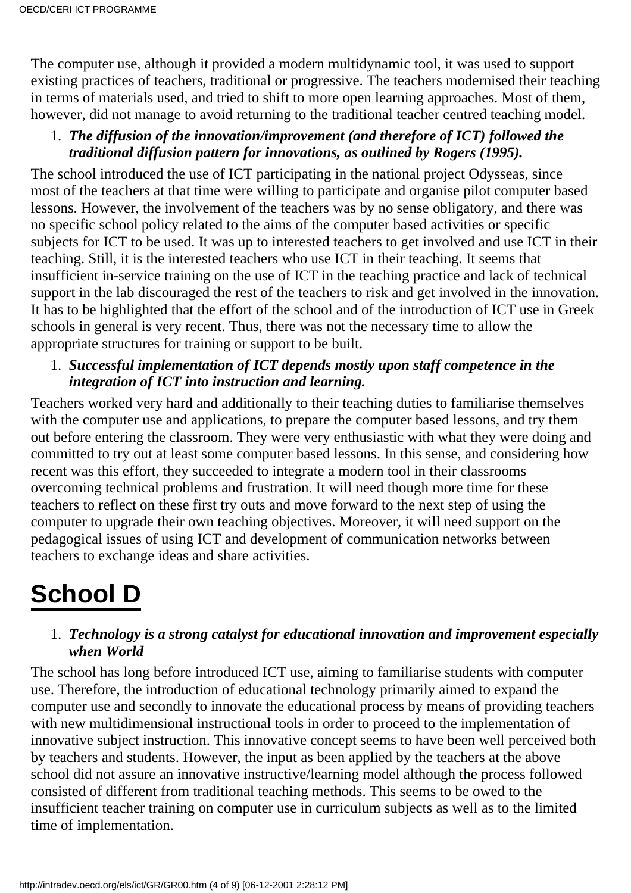The computer use, although it provided a modern multidynamic tool, it was used to support existing practices of teachers, traditional or progressive. The teachers modernised their teaching in terms of materials used, and tried to shift to more open learning approaches. Most of them, however, did not manage to avoid returning to the traditional teacher centred teaching model.

#### *The diffusion of the innovation/improvement (and therefore of ICT) followed the* 1. *traditional diffusion pattern for innovations, as outlined by Rogers (1995).*

The school introduced the use of ICT participating in the national project Odysseas, since most of the teachers at that time were willing to participate and organise pilot computer based lessons. However, the involvement of the teachers was by no sense obligatory, and there was no specific school policy related to the aims of the computer based activities or specific subjects for ICT to be used. It was up to interested teachers to get involved and use ICT in their teaching. Still, it is the interested teachers who use ICT in their teaching. It seems that insufficient in-service training on the use of ICT in the teaching practice and lack of technical support in the lab discouraged the rest of the teachers to risk and get involved in the innovation. It has to be highlighted that the effort of the school and of the introduction of ICT use in Greek schools in general is very recent. Thus, there was not the necessary time to allow the appropriate structures for training or support to be built.

#### *Successful implementation of ICT depends mostly upon staff competence in the* 1. *integration of ICT into instruction and learning.*

Teachers worked very hard and additionally to their teaching duties to familiarise themselves with the computer use and applications, to prepare the computer based lessons, and try them out before entering the classroom. They were very enthusiastic with what they were doing and committed to try out at least some computer based lessons. In this sense, and considering how recent was this effort, they succeeded to integrate a modern tool in their classrooms overcoming technical problems and frustration. It will need though more time for these teachers to reflect on these first try outs and move forward to the next step of using the computer to upgrade their own teaching objectives. Moreover, it will need support on the pedagogical issues of using ICT and development of communication networks between teachers to exchange ideas and share activities.

### **School D**

#### *Technology is a strong catalyst for educational innovation and improvement especially* 1. *when World*

The school has long before introduced ICT use, aiming to familiarise students with computer use. Therefore, the introduction of educational technology primarily aimed to expand the computer use and secondly to innovate the educational process by means of providing teachers with new multidimensional instructional tools in order to proceed to the implementation of innovative subject instruction. This innovative concept seems to have been well perceived both by teachers and students. However, the input as been applied by the teachers at the above school did not assure an innovative instructive/learning model although the process followed consisted of different from traditional teaching methods. This seems to be owed to the insufficient teacher training on computer use in curriculum subjects as well as to the limited time of implementation.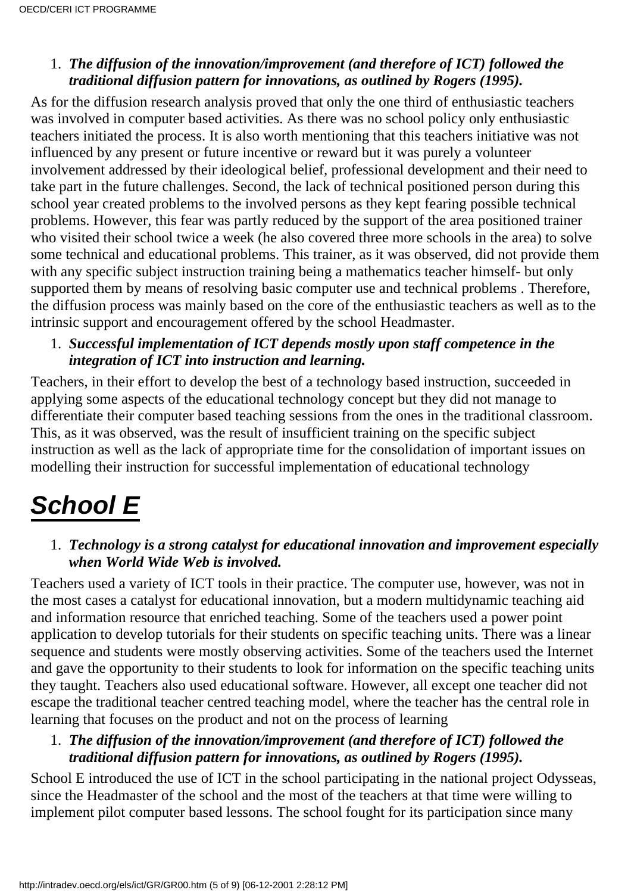#### *The diffusion of the innovation/improvement (and therefore of ICT) followed the* 1. *traditional diffusion pattern for innovations, as outlined by Rogers (1995).*

As for the diffusion research analysis proved that only the one third of enthusiastic teachers was involved in computer based activities. As there was no school policy only enthusiastic teachers initiated the process. It is also worth mentioning that this teachers initiative was not influenced by any present or future incentive or reward but it was purely a volunteer involvement addressed by their ideological belief, professional development and their need to take part in the future challenges. Second, the lack of technical positioned person during this school year created problems to the involved persons as they kept fearing possible technical problems. However, this fear was partly reduced by the support of the area positioned trainer who visited their school twice a week (he also covered three more schools in the area) to solve some technical and educational problems. This trainer, as it was observed, did not provide them with any specific subject instruction training being a mathematics teacher himself- but only supported them by means of resolving basic computer use and technical problems . Therefore, the diffusion process was mainly based on the core of the enthusiastic teachers as well as to the intrinsic support and encouragement offered by the school Headmaster.

#### *Successful implementation of ICT depends mostly upon staff competence in the* 1. *integration of ICT into instruction and learning.*

Teachers, in their effort to develop the best of a technology based instruction, succeeded in applying some aspects of the educational technology concept but they did not manage to differentiate their computer based teaching sessions from the ones in the traditional classroom. This, as it was observed, was the result of insufficient training on the specific subject instruction as well as the lack of appropriate time for the consolidation of important issues on modelling their instruction for successful implementation of educational technology

### **School E**

#### *Technology is a strong catalyst for educational innovation and improvement especially* 1. *when World Wide Web is involved.*

Teachers used a variety of ICT tools in their practice. The computer use, however, was not in the most cases a catalyst for educational innovation, but a modern multidynamic teaching aid and information resource that enriched teaching. Some of the teachers used a power point application to develop tutorials for their students on specific teaching units. There was a linear sequence and students were mostly observing activities. Some of the teachers used the Internet and gave the opportunity to their students to look for information on the specific teaching units they taught. Teachers also used educational software. However, all except one teacher did not escape the traditional teacher centred teaching model, where the teacher has the central role in learning that focuses on the product and not on the process of learning

#### *The diffusion of the innovation/improvement (and therefore of ICT) followed the* 1. *traditional diffusion pattern for innovations, as outlined by Rogers (1995).*

School E introduced the use of ICT in the school participating in the national project Odysseas, since the Headmaster of the school and the most of the teachers at that time were willing to implement pilot computer based lessons. The school fought for its participation since many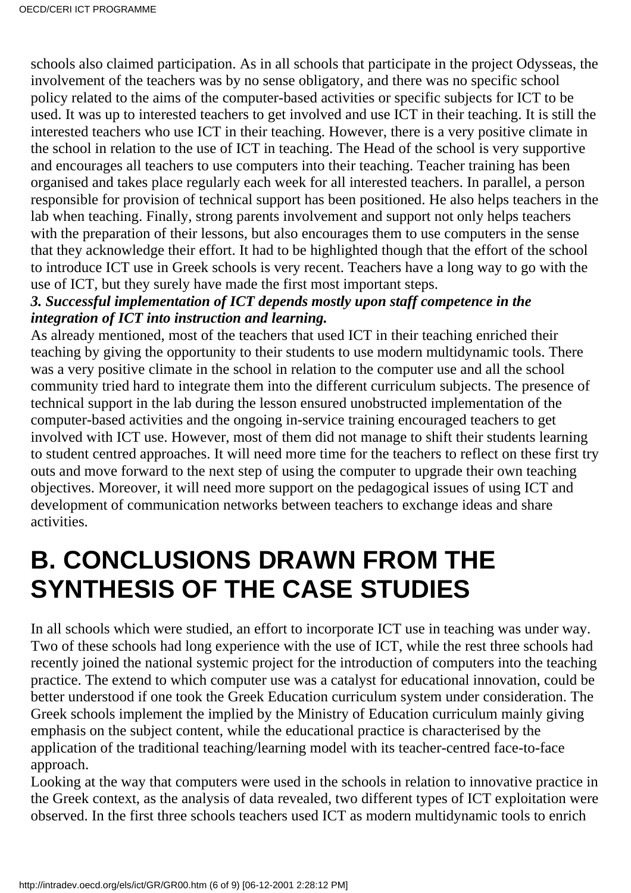schools also claimed participation. As in all schools that participate in the project Odysseas, the involvement of the teachers was by no sense obligatory, and there was no specific school policy related to the aims of the computer-based activities or specific subjects for ICT to be used. It was up to interested teachers to get involved and use ICT in their teaching. It is still the interested teachers who use ICT in their teaching. However, there is a very positive climate in the school in relation to the use of ICT in teaching. The Head of the school is very supportive and encourages all teachers to use computers into their teaching. Teacher training has been organised and takes place regularly each week for all interested teachers. In parallel, a person responsible for provision of technical support has been positioned. He also helps teachers in the lab when teaching. Finally, strong parents involvement and support not only helps teachers with the preparation of their lessons, but also encourages them to use computers in the sense that they acknowledge their effort. It had to be highlighted though that the effort of the school to introduce ICT use in Greek schools is very recent. Teachers have a long way to go with the use of ICT, but they surely have made the first most important steps.

#### *3. Successful implementation of ICT depends mostly upon staff competence in the integration of ICT into instruction and learning.*

As already mentioned, most of the teachers that used ICT in their teaching enriched their teaching by giving the opportunity to their students to use modern multidynamic tools. There was a very positive climate in the school in relation to the computer use and all the school community tried hard to integrate them into the different curriculum subjects. The presence of technical support in the lab during the lesson ensured unobstructed implementation of the computer-based activities and the ongoing in-service training encouraged teachers to get involved with ICT use. However, most of them did not manage to shift their students learning to student centred approaches. It will need more time for the teachers to reflect on these first try outs and move forward to the next step of using the computer to upgrade their own teaching objectives. Moreover, it will need more support on the pedagogical issues of using ICT and development of communication networks between teachers to exchange ideas and share activities.

### **B. CONCLUSIONS DRAWN FROM THE SYNTHESIS OF THE CASE STUDIES**

In all schools which were studied, an effort to incorporate ICT use in teaching was under way. Two of these schools had long experience with the use of ICT, while the rest three schools had recently joined the national systemic project for the introduction of computers into the teaching practice. The extend to which computer use was a catalyst for educational innovation, could be better understood if one took the Greek Education curriculum system under consideration. The Greek schools implement the implied by the Ministry of Education curriculum mainly giving emphasis on the subject content, while the educational practice is characterised by the application of the traditional teaching/learning model with its teacher-centred face-to-face approach.

Looking at the way that computers were used in the schools in relation to innovative practice in the Greek context, as the analysis of data revealed, two different types of ICT exploitation were observed. In the first three schools teachers used ICT as modern multidynamic tools to enrich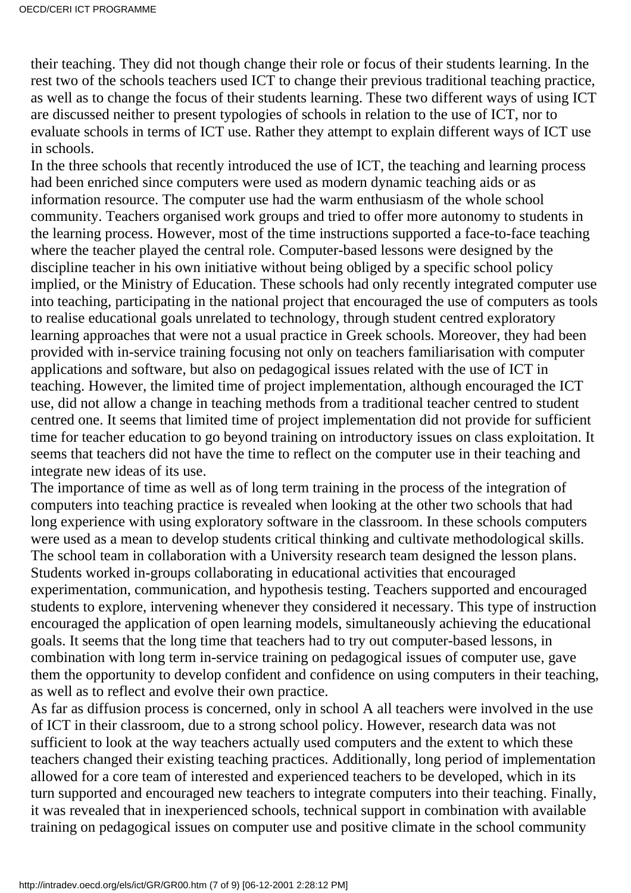their teaching. They did not though change their role or focus of their students learning. In the rest two of the schools teachers used ICT to change their previous traditional teaching practice, as well as to change the focus of their students learning. These two different ways of using ICT are discussed neither to present typologies of schools in relation to the use of ICT, nor to evaluate schools in terms of ICT use. Rather they attempt to explain different ways of ICT use in schools.

In the three schools that recently introduced the use of ICT, the teaching and learning process had been enriched since computers were used as modern dynamic teaching aids or as information resource. The computer use had the warm enthusiasm of the whole school community. Teachers organised work groups and tried to offer more autonomy to students in the learning process. However, most of the time instructions supported a face-to-face teaching where the teacher played the central role. Computer-based lessons were designed by the discipline teacher in his own initiative without being obliged by a specific school policy implied, or the Ministry of Education. These schools had only recently integrated computer use into teaching, participating in the national project that encouraged the use of computers as tools to realise educational goals unrelated to technology, through student centred exploratory learning approaches that were not a usual practice in Greek schools. Moreover, they had been provided with in-service training focusing not only on teachers familiarisation with computer applications and software, but also on pedagogical issues related with the use of ICT in teaching. However, the limited time of project implementation, although encouraged the ICT use, did not allow a change in teaching methods from a traditional teacher centred to student centred one. It seems that limited time of project implementation did not provide for sufficient time for teacher education to go beyond training on introductory issues on class exploitation. It seems that teachers did not have the time to reflect on the computer use in their teaching and integrate new ideas of its use.

The importance of time as well as of long term training in the process of the integration of computers into teaching practice is revealed when looking at the other two schools that had long experience with using exploratory software in the classroom. In these schools computers were used as a mean to develop students critical thinking and cultivate methodological skills. The school team in collaboration with a University research team designed the lesson plans. Students worked in-groups collaborating in educational activities that encouraged experimentation, communication, and hypothesis testing. Teachers supported and encouraged students to explore, intervening whenever they considered it necessary. This type of instruction encouraged the application of open learning models, simultaneously achieving the educational goals. It seems that the long time that teachers had to try out computer-based lessons, in combination with long term in-service training on pedagogical issues of computer use, gave them the opportunity to develop confident and confidence on using computers in their teaching, as well as to reflect and evolve their own practice.

As far as diffusion process is concerned, only in school A all teachers were involved in the use of ICT in their classroom, due to a strong school policy. However, research data was not sufficient to look at the way teachers actually used computers and the extent to which these teachers changed their existing teaching practices. Additionally, long period of implementation allowed for a core team of interested and experienced teachers to be developed, which in its turn supported and encouraged new teachers to integrate computers into their teaching. Finally, it was revealed that in inexperienced schools, technical support in combination with available training on pedagogical issues on computer use and positive climate in the school community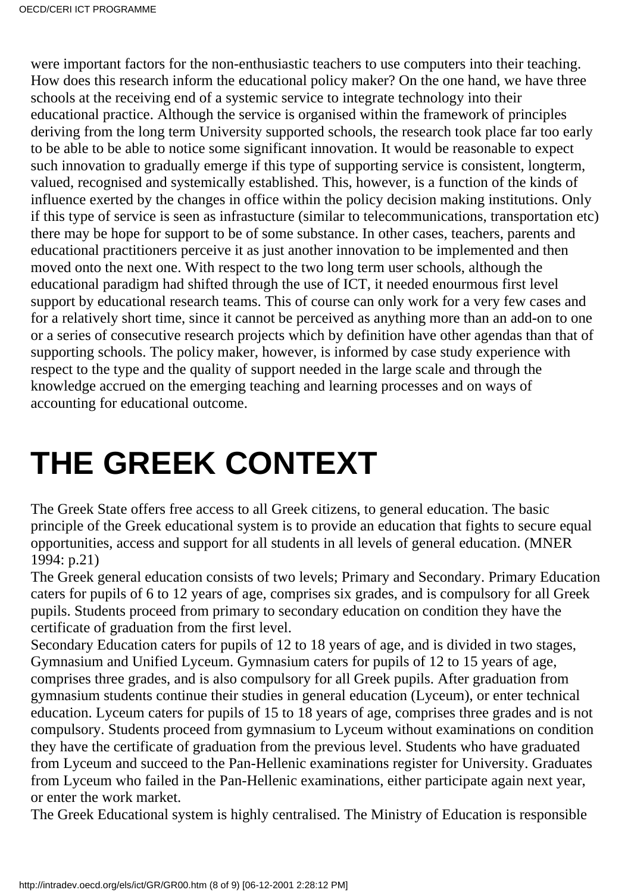were important factors for the non-enthusiastic teachers to use computers into their teaching. How does this research inform the educational policy maker? On the one hand, we have three schools at the receiving end of a systemic service to integrate technology into their educational practice. Although the service is organised within the framework of principles deriving from the long term University supported schools, the research took place far too early to be able to be able to notice some significant innovation. It would be reasonable to expect such innovation to gradually emerge if this type of supporting service is consistent, longterm, valued, recognised and systemically established. This, however, is a function of the kinds of influence exerted by the changes in office within the policy decision making institutions. Only if this type of service is seen as infrastucture (similar to telecommunications, transportation etc) there may be hope for support to be of some substance. In other cases, teachers, parents and educational practitioners perceive it as just another innovation to be implemented and then moved onto the next one. With respect to the two long term user schools, although the educational paradigm had shifted through the use of ICT, it needed enourmous first level support by educational research teams. This of course can only work for a very few cases and for a relatively short time, since it cannot be perceived as anything more than an add-on to one or a series of consecutive research projects which by definition have other agendas than that of supporting schools. The policy maker, however, is informed by case study experience with respect to the type and the quality of support needed in the large scale and through the knowledge accrued on the emerging teaching and learning processes and on ways of accounting for educational outcome.

# **THE GREEK CONTEXT**

The Greek State offers free access to all Greek citizens, to general education. The basic principle of the Greek educational system is to provide an education that fights to secure equal opportunities, access and support for all students in all levels of general education. (MNER 1994: p.21)

The Greek general education consists of two levels; Primary and Secondary. Primary Education caters for pupils of 6 to 12 years of age, comprises six grades, and is compulsory for all Greek pupils. Students proceed from primary to secondary education on condition they have the certificate of graduation from the first level.

Secondary Education caters for pupils of 12 to 18 years of age, and is divided in two stages, Gymnasium and Unified Lyceum. Gymnasium caters for pupils of 12 to 15 years of age, comprises three grades, and is also compulsory for all Greek pupils. After graduation from gymnasium students continue their studies in general education (Lyceum), or enter technical education. Lyceum caters for pupils of 15 to 18 years of age, comprises three grades and is not compulsory. Students proceed from gymnasium to Lyceum without examinations on condition they have the certificate of graduation from the previous level. Students who have graduated from Lyceum and succeed to the Pan-Hellenic examinations register for University. Graduates from Lyceum who failed in the Pan-Hellenic examinations, either participate again next year, or enter the work market.

The Greek Educational system is highly centralised. The Ministry of Education is responsible